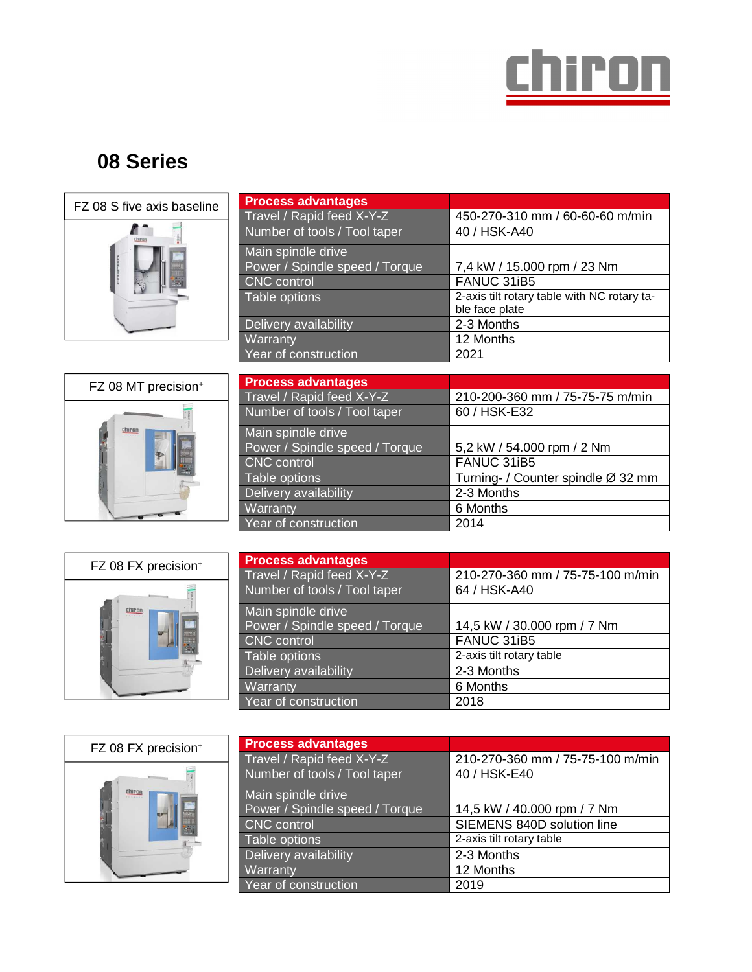

## **08 Series**



| <b>Process advantages</b>      |                                             |
|--------------------------------|---------------------------------------------|
| Travel / Rapid feed X-Y-Z      | 450-270-310 mm / 60-60-60 m/min             |
| Number of tools / Tool taper   | 40 / HSK-A40                                |
| Main spindle drive             |                                             |
| Power / Spindle speed / Torque | 7,4 kW / 15.000 rpm / 23 Nm                 |
| CNC control                    | FANUC 31iB5                                 |
| Table options                  | 2-axis tilt rotary table with NC rotary ta- |
|                                | ble face plate                              |
| Delivery availability          | 2-3 Months                                  |
| Warranty                       | 12 Months                                   |
| Year of construction           | 2021                                        |



| <b>Process advantages</b>      |                                    |
|--------------------------------|------------------------------------|
| Travel / Rapid feed X-Y-Z      | 210-200-360 mm / 75-75-75 m/min    |
| Number of tools / Tool taper   | 60 / HSK-E32                       |
| Main spindle drive             |                                    |
| Power / Spindle speed / Torque | 5,2 kW / 54.000 rpm / 2 Nm         |
| CNC control                    | FANUC 31iB5                        |
| Table options                  | Turning- / Counter spindle Ø 32 mm |
| Delivery availability          | 2-3 Months                         |
| Warranty                       | 6 Months                           |
| Year of construction           | 2014                               |



| <b>Process advantages</b>      |                                  |
|--------------------------------|----------------------------------|
| Travel / Rapid feed X-Y-Z      | 210-270-360 mm / 75-75-100 m/min |
| Number of tools / Tool taper   | 64 / HSK-A40                     |
| Main spindle drive             |                                  |
| Power / Spindle speed / Torque | 14,5 kW / 30.000 rpm / 7 Nm      |
| CNC control                    | FANUC 31iB5                      |
| Table options                  | 2-axis tilt rotary table         |
| Delivery availability          | 2-3 Months                       |
| Warranty                       | 6 Months                         |
| Year of construction           | 2018                             |



| <b>Process advantages</b>      |                                  |
|--------------------------------|----------------------------------|
| Travel / Rapid feed X-Y-Z      | 210-270-360 mm / 75-75-100 m/min |
| Number of tools / Tool taper   | 40 / HSK-E40                     |
| Main spindle drive             |                                  |
| Power / Spindle speed / Torque | 14,5 kW / 40.000 rpm / 7 Nm      |
| <b>CNC</b> control             | SIEMENS 840D solution line       |
| Table options                  | 2-axis tilt rotary table         |
| Delivery availability          | 2-3 Months                       |
| Warranty                       | 12 Months                        |
| Year of construction           | 2019                             |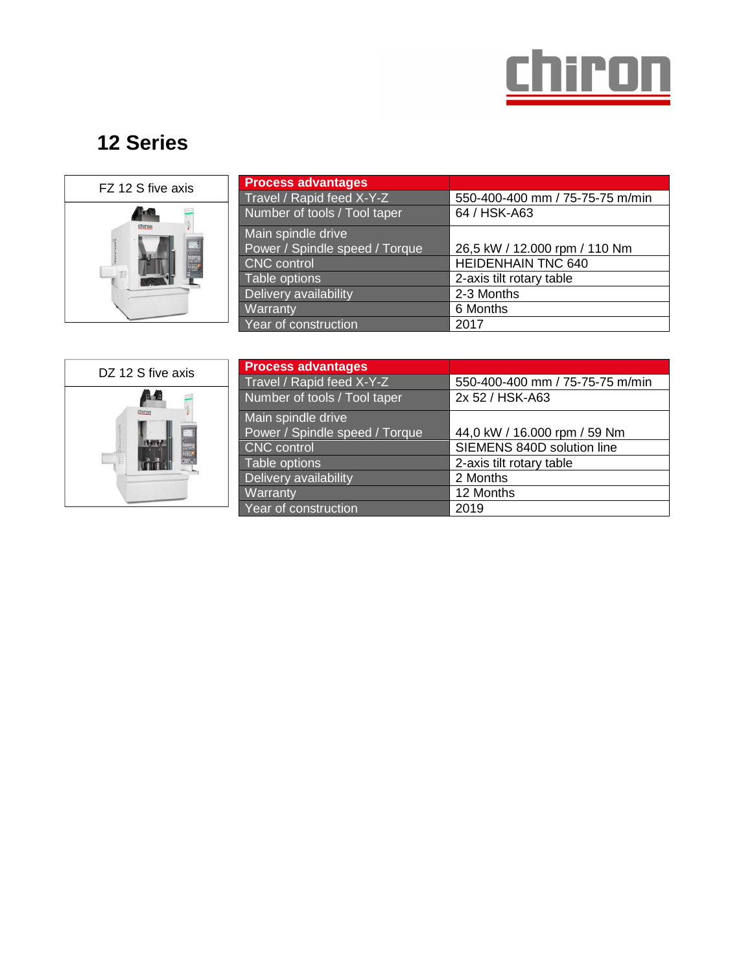

## **12 Series**



| <b>Process advantages</b>      |                                 |
|--------------------------------|---------------------------------|
| Travel / Rapid feed X-Y-Z      | 550-400-400 mm / 75-75-75 m/min |
| Number of tools / Tool taper   | 64 / HSK-A63                    |
| Main spindle drive             |                                 |
| Power / Spindle speed / Torque | 26,5 kW / 12.000 rpm / 110 Nm   |
| CNC control                    | <b>HEIDENHAIN TNC 640</b>       |
| Table options                  | 2-axis tilt rotary table        |
| Delivery availability          | 2-3 Months                      |
| Warranty                       | 6 Months                        |
| Year of construction           | 2017                            |



| <b>Process advantages</b>      |                                 |
|--------------------------------|---------------------------------|
| Travel / Rapid feed X-Y-Z      | 550-400-400 mm / 75-75-75 m/min |
| Number of tools / Tool taper   | 2x 52 / HSK-A63                 |
| Main spindle drive             |                                 |
| Power / Spindle speed / Torque | 44,0 kW / 16.000 rpm / 59 Nm    |
| <b>CNC</b> control             | SIEMENS 840D solution line      |
| Table options                  | 2-axis tilt rotary table        |
| Delivery availability          | 2 Months                        |
| Warranty                       | 12 Months                       |
| Year of construction           | 2019                            |